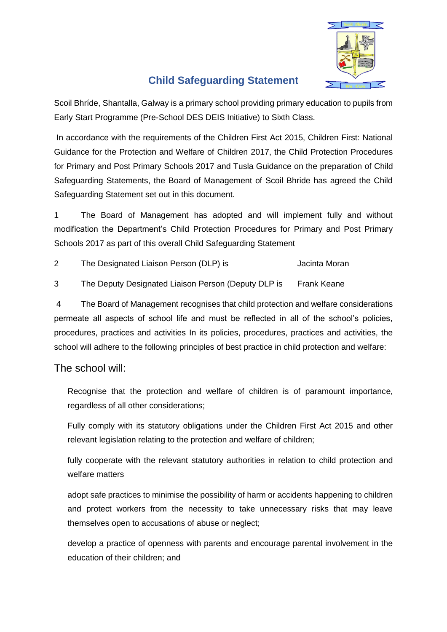

## **Child Safeguarding Statement**

Scoil Bhríde, Shantalla, Galway is a primary school providing primary education to pupils from Early Start Programme (Pre-School DES DEIS Initiative) to Sixth Class.

In accordance with the requirements of the Children First Act 2015, Children First: National Guidance for the Protection and Welfare of Children 2017, the Child Protection Procedures for Primary and Post Primary Schools 2017 and Tusla Guidance on the preparation of Child Safeguarding Statements, the Board of Management of Scoil Bhride has agreed the Child Safeguarding Statement set out in this document.

1 The Board of Management has adopted and will implement fully and without modification the Department's Child Protection Procedures for Primary and Post Primary Schools 2017 as part of this overall Child Safeguarding Statement

- 2 The Designated Liaison Person (DLP) is Sacinta Moran
- 3 The Deputy Designated Liaison Person (Deputy DLP is Frank Keane

4 The Board of Management recognises that child protection and welfare considerations permeate all aspects of school life and must be reflected in all of the school's policies, procedures, practices and activities In its policies, procedures, practices and activities, the school will adhere to the following principles of best practice in child protection and welfare:

## The school will:

Recognise that the protection and welfare of children is of paramount importance, regardless of all other considerations;

Fully comply with its statutory obligations under the Children First Act 2015 and other relevant legislation relating to the protection and welfare of children;

fully cooperate with the relevant statutory authorities in relation to child protection and welfare matters

adopt safe practices to minimise the possibility of harm or accidents happening to children and protect workers from the necessity to take unnecessary risks that may leave themselves open to accusations of abuse or neglect;

develop a practice of openness with parents and encourage parental involvement in the education of their children; and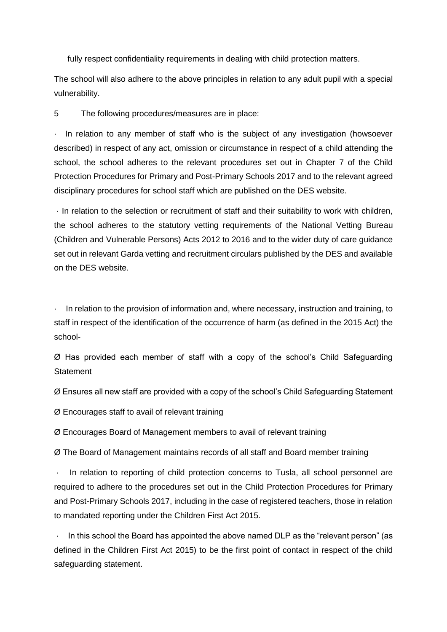fully respect confidentiality requirements in dealing with child protection matters.

The school will also adhere to the above principles in relation to any adult pupil with a special vulnerability.

5 The following procedures/measures are in place:

In relation to any member of staff who is the subject of any investigation (howsoever described) in respect of any act, omission or circumstance in respect of a child attending the school, the school adheres to the relevant procedures set out in Chapter 7 of the Child Protection Procedures for Primary and Post-Primary Schools 2017 and to the relevant agreed disciplinary procedures for school staff which are published on the DES website.

· In relation to the selection or recruitment of staff and their suitability to work with children, the school adheres to the statutory vetting requirements of the National Vetting Bureau (Children and Vulnerable Persons) Acts 2012 to 2016 and to the wider duty of care guidance set out in relevant Garda vetting and recruitment circulars published by the DES and available on the DES website.

· In relation to the provision of information and, where necessary, instruction and training, to staff in respect of the identification of the occurrence of harm (as defined in the 2015 Act) the school-

Ø Has provided each member of staff with a copy of the school's Child Safeguarding **Statement** 

Ø Ensures all new staff are provided with a copy of the school's Child Safeguarding Statement

Ø Encourages staff to avail of relevant training

Ø Encourages Board of Management members to avail of relevant training

Ø The Board of Management maintains records of all staff and Board member training

In relation to reporting of child protection concerns to Tusla, all school personnel are required to adhere to the procedures set out in the Child Protection Procedures for Primary and Post-Primary Schools 2017, including in the case of registered teachers, those in relation to mandated reporting under the Children First Act 2015.

In this school the Board has appointed the above named DLP as the "relevant person" (as defined in the Children First Act 2015) to be the first point of contact in respect of the child safeguarding statement.